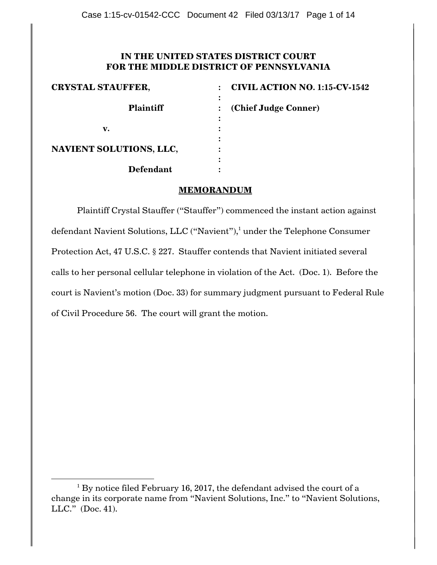# **IN THE UNITED STATES DISTRICT COURT FOR THE MIDDLE DISTRICT OF PENNSYLVANIA**

| <b>CRYSTAL STAUFFER,</b> | <b>CIVIL ACTION NO. 1:15-CV-1542</b> |
|--------------------------|--------------------------------------|
| <b>Plaintiff</b>         | (Chief Judge Conner)                 |
| v.                       |                                      |
| NAVIENT SOLUTIONS, LLC,  |                                      |
| <b>Defendant</b>         |                                      |

## **MEMORANDUM**

Plaintiff Crystal Stauffer ("Stauffer") commenced the instant action against defendant Navient Solutions, LLC ("Navient"), <sup>1</sup> under the Telephone Consumer Protection Act, 47 U.S.C. § 227. Stauffer contends that Navient initiated several calls to her personal cellular telephone in violation of the Act. (Doc. 1). Before the court is Navient"s motion (Doc. 33) for summary judgment pursuant to Federal Rule of Civil Procedure 56. The court will grant the motion.

 $\overline{a}$ 

 $1$  By notice filed February 16, 2017, the defendant advised the court of a change in its corporate name from "Navient Solutions, Inc." to "Navient Solutions, LLC." (Doc. 41).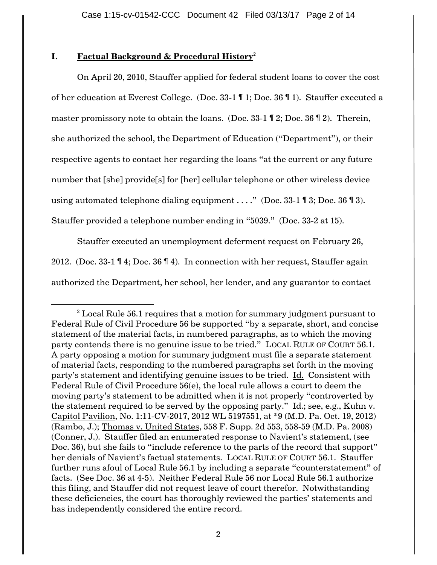# **I. Factual Background & Procedural History**<sup>2</sup>

 $\overline{a}$ 

On April 20, 2010, Stauffer applied for federal student loans to cover the cost of her education at Everest College. (Doc. 33-1 ¶ 1; Doc. 36 ¶ 1). Stauffer executed a master promissory note to obtain the loans. (Doc. 33-1 ¶ 2; Doc. 36 ¶ 2). Therein, she authorized the school, the Department of Education ("Department"), or their respective agents to contact her regarding the loans "at the current or any future number that [she] provide[s] for [her] cellular telephone or other wireless device using automated telephone dialing equipment  $\dots$ ." (Doc. 33-1 ¶ 3; Doc. 36 ¶ 3). Stauffer provided a telephone number ending in "5039." (Doc. 33-2 at 15).

Stauffer executed an unemployment deferment request on February 26, 2012. (Doc. 33-1 ¶ 4; Doc. 36 ¶ 4). In connection with her request, Stauffer again authorized the Department, her school, her lender, and any guarantor to contact

 $2$  Local Rule 56.1 requires that a motion for summary judgment pursuant to Federal Rule of Civil Procedure 56 be supported "by a separate, short, and concise statement of the material facts, in numbered paragraphs, as to which the moving party contends there is no genuine issue to be tried." LOCAL RULE OF COURT 56.1. A party opposing a motion for summary judgment must file a separate statement of material facts, responding to the numbered paragraphs set forth in the moving party"s statement and identifying genuine issues to be tried. Id. Consistent with Federal Rule of Civil Procedure 56(e), the local rule allows a court to deem the moving party's statement to be admitted when it is not properly "controverted by the statement required to be served by the opposing party." Id.; see, e.g., Kuhn v. Capitol Pavilion, No. 1:11-CV-2017, 2012 WL 5197551, at \*9 (M.D. Pa. Oct. 19, 2012) (Rambo, J.); Thomas v. United States, 558 F. Supp. 2d 553, 558-59 (M.D. Pa. 2008) (Conner, J.). Stauffer filed an enumerated response to Navient"s statement, (see Doc. 36), but she fails to "include reference to the parts of the record that support" her denials of Navient"s factual statements. LOCAL RULE OF COURT 56.1. Stauffer further runs afoul of Local Rule 56.1 by including a separate "counterstatement" of facts. (See Doc. 36 at 4-5). Neither Federal Rule 56 nor Local Rule 56.1 authorize this filing, and Stauffer did not request leave of court therefor. Notwithstanding these deficiencies, the court has thoroughly reviewed the parties' statements and has independently considered the entire record.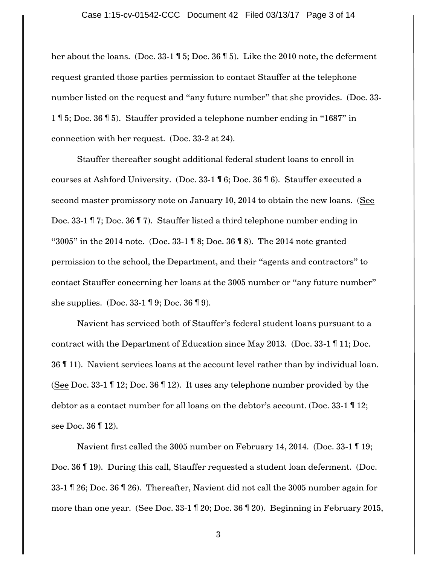her about the loans. (Doc. 33-1 ¶ 5; Doc. 36 ¶ 5). Like the 2010 note, the deferment request granted those parties permission to contact Stauffer at the telephone number listed on the request and "any future number" that she provides. (Doc. 33- 1 ¶ 5; Doc. 36 ¶ 5). Stauffer provided a telephone number ending in "1687" in connection with her request. (Doc. 33-2 at 24).

Stauffer thereafter sought additional federal student loans to enroll in courses at Ashford University. (Doc. 33-1 ¶ 6; Doc. 36 ¶ 6). Stauffer executed a second master promissory note on January 10, 2014 to obtain the new loans. (See Doc. 33-1 ¶ 7; Doc. 36 ¶ 7). Stauffer listed a third telephone number ending in "3005" in the 2014 note. (Doc. 33-1 ¶ 8; Doc. 36 ¶ 8). The 2014 note granted permission to the school, the Department, and their "agents and contractors" to contact Stauffer concerning her loans at the 3005 number or "any future number" she supplies. (Doc. 33-1 ¶ 9; Doc. 36 ¶ 9).

Navient has serviced both of Stauffer"s federal student loans pursuant to a contract with the Department of Education since May 2013. (Doc. 33-1 ¶ 11; Doc. 36 ¶ 11). Navient services loans at the account level rather than by individual loan. (See Doc. 33-1 ¶ 12; Doc. 36 ¶ 12). It uses any telephone number provided by the debtor as a contact number for all loans on the debtor's account. (Doc. 33-1 12; see Doc. 36 ¶ 12).

Navient first called the 3005 number on February 14, 2014. (Doc. 33-1 ¶ 19; Doc. 36 ¶ 19). During this call, Stauffer requested a student loan deferment. (Doc. 33-1 ¶ 26; Doc. 36 ¶ 26). Thereafter, Navient did not call the 3005 number again for more than one year. (See Doc. 33-1 ¶ 20; Doc. 36 ¶ 20). Beginning in February 2015,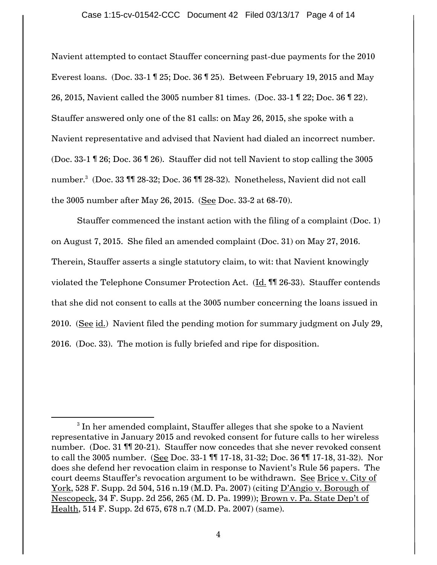Navient attempted to contact Stauffer concerning past-due payments for the 2010 Everest loans. (Doc. 33-1 ¶ 25; Doc. 36 ¶ 25). Between February 19, 2015 and May 26, 2015, Navient called the 3005 number 81 times. (Doc. 33-1 ¶ 22; Doc. 36 ¶ 22). Stauffer answered only one of the 81 calls: on May 26, 2015, she spoke with a Navient representative and advised that Navient had dialed an incorrect number. (Doc. 33-1 ¶ 26; Doc. 36 ¶ 26). Stauffer did not tell Navient to stop calling the 3005 number. 3 (Doc. 33 ¶¶ 28-32; Doc. 36 ¶¶ 28-32). Nonetheless, Navient did not call the 3005 number after May 26, 2015. (See Doc. 33-2 at 68-70).

Stauffer commenced the instant action with the filing of a complaint (Doc. 1) on August 7, 2015. She filed an amended complaint (Doc. 31) on May 27, 2016. Therein, Stauffer asserts a single statutory claim, to wit: that Navient knowingly violated the Telephone Consumer Protection Act. (Id. ¶¶ 26-33). Stauffer contends that she did not consent to calls at the 3005 number concerning the loans issued in 2010. (See id.) Navient filed the pending motion for summary judgment on July 29, 2016. (Doc. 33). The motion is fully briefed and ripe for disposition.

 $\overline{\phantom{a}}$ 

 $3$  In her amended complaint, Stauffer alleges that she spoke to a Navient representative in January 2015 and revoked consent for future calls to her wireless number. (Doc. 31 ¶¶ 20-21). Stauffer now concedes that she never revoked consent to call the 3005 number. (See Doc. 33-1 ¶¶ 17-18, 31-32; Doc. 36 ¶¶ 17-18, 31-32). Nor does she defend her revocation claim in response to Navient"s Rule 56 papers. The court deems Stauffer"s revocation argument to be withdrawn. See Brice v. City of York, 528 F. Supp. 2d 504, 516 n.19 (M.D. Pa. 2007) (citing D'Angio v. Borough of Nescopeck, 34 F. Supp. 2d 256, 265 (M. D. Pa. 1999)); Brown v. Pa. State Dep"t of Health, 514 F. Supp. 2d 675, 678 n.7 (M.D. Pa. 2007) (same).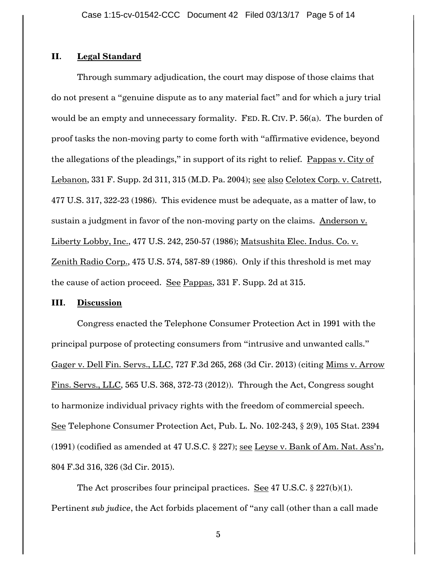## **II. Legal Standard**

Through summary adjudication, the court may dispose of those claims that do not present a "genuine dispute as to any material fact" and for which a jury trial would be an empty and unnecessary formality. FED. R. CIV. P. 56(a). The burden of proof tasks the non-moving party to come forth with "affirmative evidence, beyond the allegations of the pleadings," in support of its right to relief. Pappas v. City of Lebanon, 331 F. Supp. 2d 311, 315 (M.D. Pa. 2004); see also Celotex Corp. v. Catrett, 477 U.S. 317, 322-23 (1986). This evidence must be adequate, as a matter of law, to sustain a judgment in favor of the non-moving party on the claims. Anderson v. Liberty Lobby, Inc., 477 U.S. 242, 250-57 (1986); Matsushita Elec. Indus. Co. v. Zenith Radio Corp., 475 U.S. 574, 587-89 (1986). Only if this threshold is met may the cause of action proceed. See Pappas, 331 F. Supp. 2d at 315.

### **III. Discussion**

Congress enacted the Telephone Consumer Protection Act in 1991 with the principal purpose of protecting consumers from "intrusive and unwanted calls." Gager v. Dell Fin. Servs., LLC, 727 F.3d 265, 268 (3d Cir. 2013) (citing Mims v. Arrow Fins. Servs., LLC, 565 U.S. 368, 372-73 (2012)). Through the Act, Congress sought to harmonize individual privacy rights with the freedom of commercial speech. See Telephone Consumer Protection Act, Pub. L. No. 102-243, § 2(9), 105 Stat. 2394 (1991) (codified as amended at 47 U.S.C.  $\S$  227); see Leyse v. Bank of Am. Nat. Ass'n, 804 F.3d 316, 326 (3d Cir. 2015).

The Act proscribes four principal practices. See 47 U.S.C.  $\S 227(b)(1)$ . Pertinent *sub judice*, the Act forbids placement of "any call (other than a call made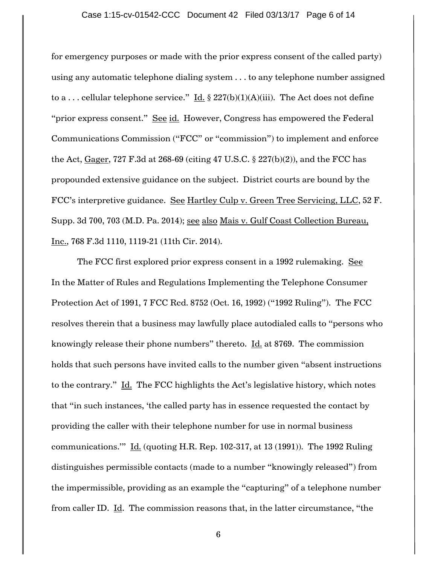for emergency purposes or made with the prior express consent of the called party) using any automatic telephone dialing system . . . to any telephone number assigned to a ... cellular telephone service." Id. § 227(b)(1)(A)(iii). The Act does not define "prior express consent." See id. However, Congress has empowered the Federal Communications Commission ("FCC" or "commission") to implement and enforce the Act, Gager, 727 F.3d at 268-69 (citing 47 U.S.C.  $\S$  227(b)(2)), and the FCC has propounded extensive guidance on the subject. District courts are bound by the FCC"s interpretive guidance. See Hartley Culp v. Green Tree Servicing, LLC, 52 F. Supp. 3d 700, 703 (M.D. Pa. 2014); see also Mais v. Gulf Coast Collection Bureau, Inc., 768 F.3d 1110, 1119-21 (11th Cir. 2014).

The FCC first explored prior express consent in a 1992 rulemaking. See In the Matter of Rules and Regulations Implementing the Telephone Consumer Protection Act of 1991, 7 FCC Rcd. 8752 (Oct. 16, 1992) ("1992 Ruling"). The FCC resolves therein that a business may lawfully place autodialed calls to "persons who knowingly release their phone numbers" thereto.  $\underline{\text{Id.}}$  at 8769. The commission holds that such persons have invited calls to the number given "absent instructions to the contrary." Id. The FCC highlights the Act's legislative history, which notes that "in such instances, "the called party has in essence requested the contact by providing the caller with their telephone number for use in normal business communications.""  $\underline{\text{Id.}}$  (quoting H.R. Rep. 102-317, at 13 (1991)). The 1992 Ruling distinguishes permissible contacts (made to a number "knowingly released") from the impermissible, providing as an example the "capturing" of a telephone number from caller ID. Id. The commission reasons that, in the latter circumstance, "the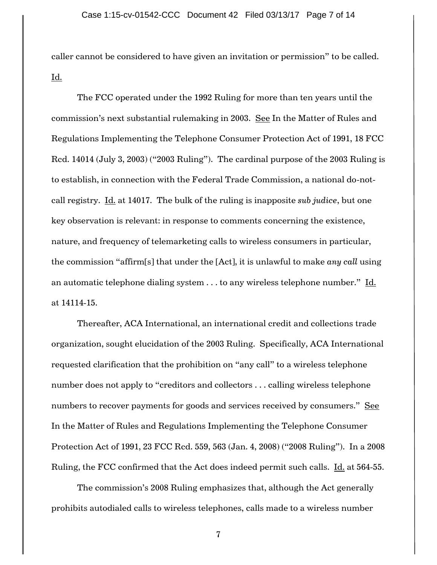caller cannot be considered to have given an invitation or permission" to be called. <u>Id.</u>

The FCC operated under the 1992 Ruling for more than ten years until the commission"s next substantial rulemaking in 2003. See In the Matter of Rules and Regulations Implementing the Telephone Consumer Protection Act of 1991, 18 FCC Rcd. 14014 (July 3, 2003) ("2003 Ruling"). The cardinal purpose of the 2003 Ruling is to establish, in connection with the Federal Trade Commission, a national do-notcall registry. Id. at 14017. The bulk of the ruling is inapposite *sub judice*, but one key observation is relevant: in response to comments concerning the existence, nature, and frequency of telemarketing calls to wireless consumers in particular, the commission "affirm[s] that under the [Act], it is unlawful to make *any call* using an automatic telephone dialing system . . . to any wireless telephone number." Id. at 14114-15.

Thereafter, ACA International, an international credit and collections trade organization, sought elucidation of the 2003 Ruling. Specifically, ACA International requested clarification that the prohibition on "any call" to a wireless telephone number does not apply to "creditors and collectors . . . calling wireless telephone numbers to recover payments for goods and services received by consumers." See In the Matter of Rules and Regulations Implementing the Telephone Consumer Protection Act of 1991, 23 FCC Rcd. 559, 563 (Jan. 4, 2008) ("2008 Ruling"). In a 2008 Ruling, the FCC confirmed that the Act does indeed permit such calls. Id. at 564-55.

The commission's 2008 Ruling emphasizes that, although the Act generally prohibits autodialed calls to wireless telephones, calls made to a wireless number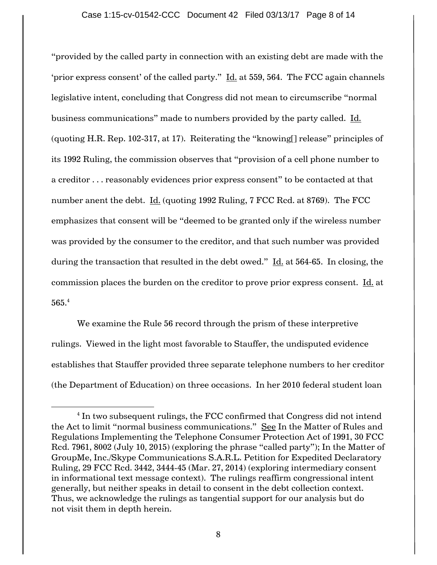"provided by the called party in connection with an existing debt are made with the 'prior express consent' of the called party."  $\underline{\text{Id.}}$  at 559, 564. The FCC again channels legislative intent, concluding that Congress did not mean to circumscribe "normal business communications" made to numbers provided by the party called. Id. (quoting H.R. Rep. 102-317, at 17). Reiterating the "knowing[] release" principles of its 1992 Ruling, the commission observes that "provision of a cell phone number to a creditor . . . reasonably evidences prior express consent" to be contacted at that number anent the debt. Id. (quoting 1992 Ruling, 7 FCC Rcd. at 8769). The FCC emphasizes that consent will be "deemed to be granted only if the wireless number was provided by the consumer to the creditor, and that such number was provided during the transaction that resulted in the debt owed." Id. at 564-65. In closing, the commission places the burden on the creditor to prove prior express consent. Id. at 565.<sup>4</sup>

We examine the Rule 56 record through the prism of these interpretive rulings. Viewed in the light most favorable to Stauffer, the undisputed evidence establishes that Stauffer provided three separate telephone numbers to her creditor (the Department of Education) on three occasions. In her 2010 federal student loan

 $\overline{\phantom{a}}$ 

 $^4$  In two subsequent rulings, the FCC confirmed that Congress did not intend the Act to limit "normal business communications." See In the Matter of Rules and Regulations Implementing the Telephone Consumer Protection Act of 1991, 30 FCC Rcd. 7961, 8002 (July 10, 2015) (exploring the phrase "called party"); In the Matter of GroupMe, Inc./Skype Communications S.A.R.L. Petition for Expedited Declaratory Ruling, 29 FCC Rcd. 3442, 3444-45 (Mar. 27, 2014) (exploring intermediary consent in informational text message context). The rulings reaffirm congressional intent generally, but neither speaks in detail to consent in the debt collection context. Thus, we acknowledge the rulings as tangential support for our analysis but do not visit them in depth herein.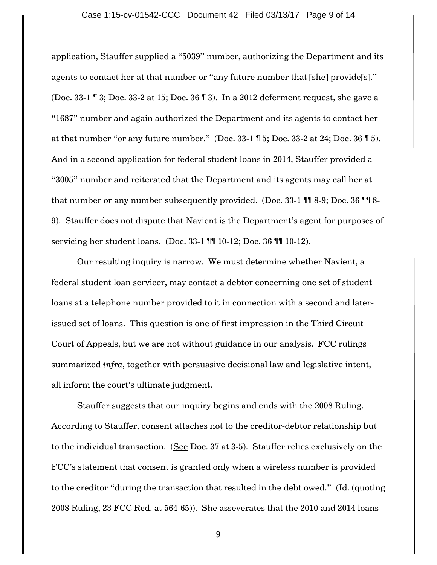### Case 1:15-cv-01542-CCC Document 42 Filed 03/13/17 Page 9 of 14

application, Stauffer supplied a "5039" number, authorizing the Department and its agents to contact her at that number or "any future number that [she] provide[s]." (Doc. 33-1 ¶ 3; Doc. 33-2 at 15; Doc. 36 ¶ 3). In a 2012 deferment request, she gave a "1687" number and again authorized the Department and its agents to contact her at that number "or any future number." (Doc. 33-1 ¶ 5; Doc. 33-2 at 24; Doc. 36 ¶ 5). And in a second application for federal student loans in 2014, Stauffer provided a "3005" number and reiterated that the Department and its agents may call her at that number or any number subsequently provided. (Doc. 33-1 ¶¶ 8-9; Doc. 36 ¶¶ 8- 9). Stauffer does not dispute that Navient is the Department's agent for purposes of servicing her student loans. (Doc. 33-1 ¶¶ 10-12; Doc. 36 ¶¶ 10-12).

Our resulting inquiry is narrow. We must determine whether Navient, a federal student loan servicer, may contact a debtor concerning one set of student loans at a telephone number provided to it in connection with a second and laterissued set of loans. This question is one of first impression in the Third Circuit Court of Appeals, but we are not without guidance in our analysis. FCC rulings summarized *infra*, together with persuasive decisional law and legislative intent, all inform the court's ultimate judgment.

Stauffer suggests that our inquiry begins and ends with the 2008 Ruling. According to Stauffer, consent attaches not to the creditor-debtor relationship but to the individual transaction. (See Doc. 37 at 3-5). Stauffer relies exclusively on the FCC"s statement that consent is granted only when a wireless number is provided to the creditor "during the transaction that resulted in the debt owed." (Id. (quoting 2008 Ruling, 23 FCC Rcd. at 564-65)). She asseverates that the 2010 and 2014 loans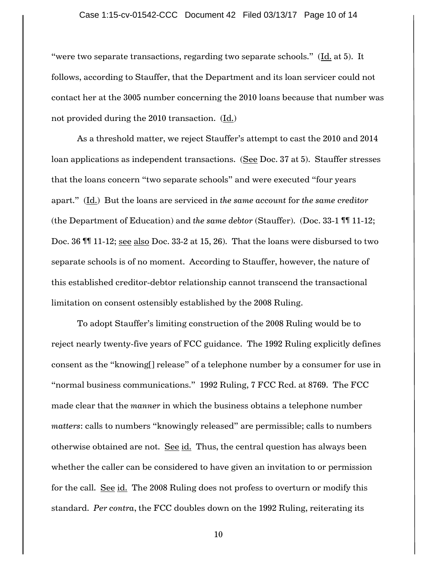#### Case 1:15-cv-01542-CCC Document 42 Filed 03/13/17 Page 10 of 14

"were two separate transactions, regarding two separate schools." (Id. at 5). It follows, according to Stauffer, that the Department and its loan servicer could not contact her at the 3005 number concerning the 2010 loans because that number was not provided during the 2010 transaction. (Id.)

As a threshold matter, we reject Stauffer"s attempt to cast the 2010 and 2014 loan applications as independent transactions. (See Doc. 37 at 5). Stauffer stresses that the loans concern "two separate schools" and were executed "four years apart." (Id.) But the loans are serviced in *the same account* for *the same creditor* (the Department of Education) and *the same debtor* (Stauffer). (Doc. 33-1 ¶¶ 11-12; Doc. 36 ¶¶ 11-12; see also Doc. 33-2 at 15, 26). That the loans were disbursed to two separate schools is of no moment. According to Stauffer, however, the nature of this established creditor-debtor relationship cannot transcend the transactional limitation on consent ostensibly established by the 2008 Ruling.

To adopt Stauffer"s limiting construction of the 2008 Ruling would be to reject nearly twenty-five years of FCC guidance. The 1992 Ruling explicitly defines consent as the "knowing[] release" of a telephone number by a consumer for use in "normal business communications." 1992 Ruling, 7 FCC Rcd. at 8769. The FCC made clear that the *manner* in which the business obtains a telephone number *matters*: calls to numbers "knowingly released" are permissible; calls to numbers otherwise obtained are not. See id. Thus, the central question has always been whether the caller can be considered to have given an invitation to or permission for the call. See id. The 2008 Ruling does not profess to overturn or modify this standard. *Per contra*, the FCC doubles down on the 1992 Ruling, reiterating its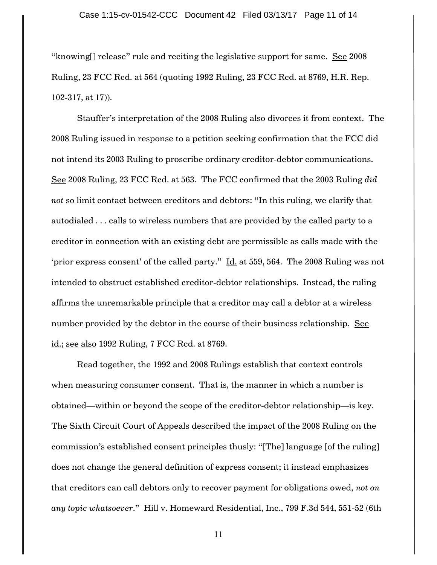"knowing[] release" rule and reciting the legislative support for same. See 2008 Ruling, 23 FCC Rcd. at 564 (quoting 1992 Ruling, 23 FCC Rcd. at 8769, H.R. Rep. 102-317, at 17)).

Stauffer"s interpretation of the 2008 Ruling also divorces it from context. The 2008 Ruling issued in response to a petition seeking confirmation that the FCC did not intend its 2003 Ruling to proscribe ordinary creditor-debtor communications. See 2008 Ruling, 23 FCC Rcd. at 563. The FCC confirmed that the 2003 Ruling *did not* so limit contact between creditors and debtors: "In this ruling, we clarify that autodialed . . . calls to wireless numbers that are provided by the called party to a creditor in connection with an existing debt are permissible as calls made with the "prior express consent" of the called party."  $\underline{\text{Id.}}$  at 559, 564. The 2008 Ruling was not intended to obstruct established creditor-debtor relationships. Instead, the ruling affirms the unremarkable principle that a creditor may call a debtor at a wireless number provided by the debtor in the course of their business relationship. See id.; see also 1992 Ruling, 7 FCC Rcd. at 8769.

Read together, the 1992 and 2008 Rulings establish that context controls when measuring consumer consent. That is, the manner in which a number is obtained—within or beyond the scope of the creditor-debtor relationship—is key. The Sixth Circuit Court of Appeals described the impact of the 2008 Ruling on the commission"s established consent principles thusly: "[The] language [of the ruling] does not change the general definition of express consent; it instead emphasizes that creditors can call debtors only to recover payment for obligations owed, *not on any topic whatsoever*." Hill v. Homeward Residential, Inc., 799 F.3d 544, 551-52 (6th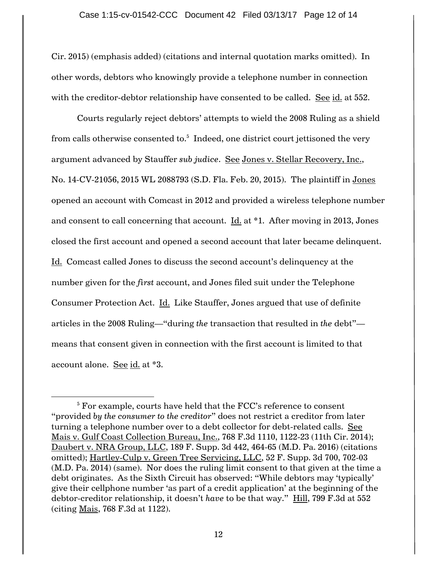Cir. 2015) (emphasis added) (citations and internal quotation marks omitted). In other words, debtors who knowingly provide a telephone number in connection with the creditor-debtor relationship have consented to be called. See id. at 552.

Courts regularly reject debtors" attempts to wield the 2008 Ruling as a shield from calls otherwise consented to. $^{\rm 5}$  Indeed, one district court jettisoned the very argument advanced by Stauffer *sub judice*. See Jones v. Stellar Recovery, Inc., No. 14-CV-21056, 2015 WL 2088793 (S.D. Fla. Feb. 20, 2015). The plaintiff in Jones opened an account with Comcast in 2012 and provided a wireless telephone number and consent to call concerning that account.  $\underline{Id}$  at \*1. After moving in 2013, Jones closed the first account and opened a second account that later became delinquent. Id. Comcast called Jones to discuss the second account's delinquency at the number given for the *first* account, and Jones filed suit under the Telephone Consumer Protection Act. Id. Like Stauffer, Jones argued that use of definite articles in the 2008 Ruling—"during *the* transaction that resulted in *the* debt" means that consent given in connection with the first account is limited to that account alone. See id. at \*3.

 $\overline{a}$ 

 $5$  For example, courts have held that the FCC's reference to consent "provided *by the consumer to the creditor*" does not restrict a creditor from later turning a telephone number over to a debt collector for debt-related calls. See Mais v. Gulf Coast Collection Bureau, Inc., 768 F.3d 1110, 1122-23 (11th Cir. 2014); Daubert v. NRA Group, LLC, 189 F. Supp. 3d 442, 464-65 (M.D. Pa. 2016) (citations omitted); Hartley-Culp v. Green Tree Servicing, LLC, 52 F. Supp. 3d 700, 702-03 (M.D. Pa. 2014) (same). Nor does the ruling limit consent to that given at the time a debt originates. As the Sixth Circuit has observed: "While debtors may "typically" give their cellphone number "as part of a credit application" at the beginning of the debtor-creditor relationship, it doesn"t *have* to be that way." Hill, 799 F.3d at 552 (citing Mais, 768 F.3d at 1122).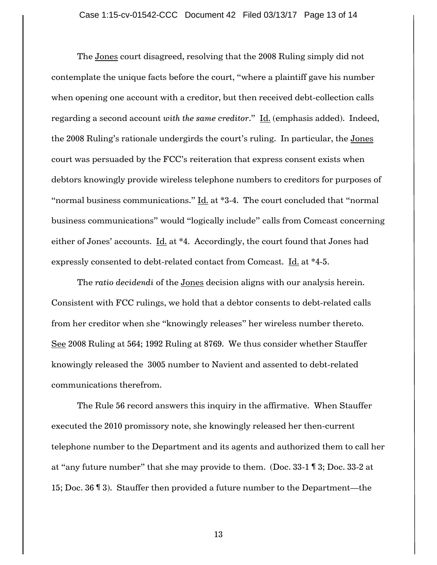The Jones court disagreed, resolving that the 2008 Ruling simply did not contemplate the unique facts before the court, "where a plaintiff gave his number when opening one account with a creditor, but then received debt-collection calls regarding a second account *with the same creditor*." Id. (emphasis added). Indeed, the 2008 Ruling's rationale undergirds the court's ruling. In particular, the Jones court was persuaded by the FCC"s reiteration that express consent exists when debtors knowingly provide wireless telephone numbers to creditors for purposes of "normal business communications." Id. at \*3-4. The court concluded that "normal business communications" would "logically include" calls from Comcast concerning either of Jones' accounts. Id. at \*4. Accordingly, the court found that Jones had expressly consented to debt-related contact from Comcast. Id. at \*4-5.

The *ratio decidendi* of the Jones decision aligns with our analysis herein. Consistent with FCC rulings, we hold that a debtor consents to debt-related calls from her creditor when she "knowingly releases" her wireless number thereto. See 2008 Ruling at 564; 1992 Ruling at 8769. We thus consider whether Stauffer knowingly released the 3005 number to Navient and assented to debt-related communications therefrom.

The Rule 56 record answers this inquiry in the affirmative. When Stauffer executed the 2010 promissory note, she knowingly released her then-current telephone number to the Department and its agents and authorized them to call her at "any future number" that she may provide to them. (Doc. 33-1 ¶ 3; Doc. 33-2 at 15; Doc. 36 ¶ 3). Stauffer then provided a future number to the Department—the